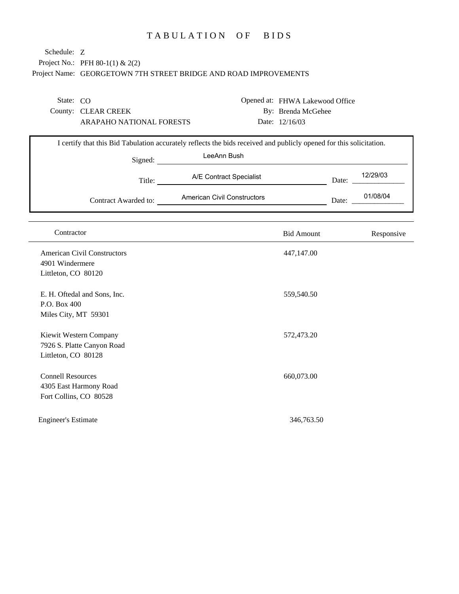## TABULATION OF BIDS

## Project No.: PFH 80-1(1) & 2(2) Project Name: GEORGETOWN 7TH STREET BRIDGE AND ROAD IMPROVEMENTS Schedule: Z

State: CO

County: CLEAR CREEK ARAPAHO NATIONAL FORESTS Opened at: FHWA Lakewood Office By: Brenda McGehee Date: 12/16/03

| Signed:              | LeeAnn Bush                 |       |          |
|----------------------|-----------------------------|-------|----------|
| Title:               | A/E Contract Specialist     | Date: | 12/29/03 |
| Contract Awarded to: | American Civil Constructors | Date: | 01/08/04 |

| Contractor                                                                   | <b>Bid Amount</b> | Responsive |
|------------------------------------------------------------------------------|-------------------|------------|
| <b>American Civil Constructors</b><br>4901 Windermere<br>Littleton, CO 80120 | 447,147.00        |            |
| E. H. Oftedal and Sons, Inc.<br>P.O. Box 400<br>Miles City, MT 59301         | 559,540.50        |            |
| Kiewit Western Company<br>7926 S. Platte Canyon Road<br>Littleton, CO 80128  | 572,473.20        |            |
| <b>Connell Resources</b><br>4305 East Harmony Road<br>Fort Collins, CO 80528 | 660,073.00        |            |
| <b>Engineer's Estimate</b>                                                   | 346,763.50        |            |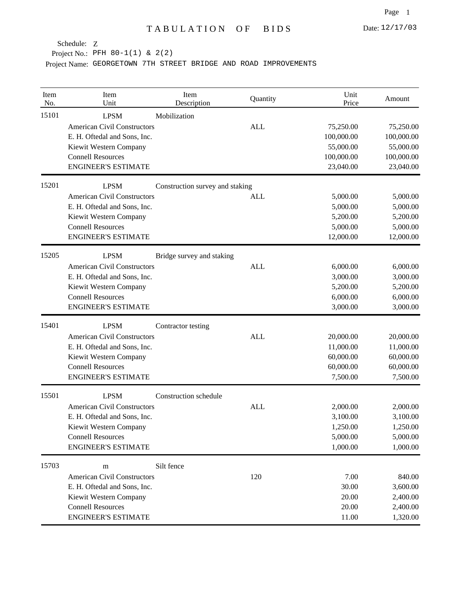Project No.: PFH 80-1(1) & 2(2)

| Item<br>No. | Item<br>Unit                       | Item<br>Description             | Quantity   | Unit<br>Price | Amount     |
|-------------|------------------------------------|---------------------------------|------------|---------------|------------|
| 15101       | <b>LPSM</b>                        | Mobilization                    |            |               |            |
|             | <b>American Civil Constructors</b> |                                 | <b>ALL</b> | 75,250.00     | 75,250.00  |
|             | E. H. Oftedal and Sons, Inc.       |                                 |            | 100,000.00    | 100,000.00 |
|             | Kiewit Western Company             |                                 |            | 55,000.00     | 55,000.00  |
|             | <b>Connell Resources</b>           |                                 |            | 100,000.00    | 100,000.00 |
|             | <b>ENGINEER'S ESTIMATE</b>         |                                 |            | 23,040.00     | 23,040.00  |
| 15201       | <b>LPSM</b>                        | Construction survey and staking |            |               |            |
|             | <b>American Civil Constructors</b> |                                 | <b>ALL</b> | 5,000.00      | 5,000.00   |
|             | E. H. Oftedal and Sons, Inc.       |                                 |            | 5,000.00      | 5,000.00   |
|             | Kiewit Western Company             |                                 |            | 5,200.00      | 5,200.00   |
|             | <b>Connell Resources</b>           |                                 |            | 5,000.00      | 5,000.00   |
|             | <b>ENGINEER'S ESTIMATE</b>         |                                 |            | 12,000.00     | 12,000.00  |
| 15205       | <b>LPSM</b>                        | Bridge survey and staking       |            |               |            |
|             | <b>American Civil Constructors</b> |                                 | <b>ALL</b> | 6,000.00      | 6,000.00   |
|             | E. H. Oftedal and Sons, Inc.       |                                 |            | 3,000.00      | 3,000.00   |
|             | Kiewit Western Company             |                                 |            | 5,200.00      | 5,200.00   |
|             | <b>Connell Resources</b>           |                                 |            | 6,000.00      | 6,000.00   |
|             | <b>ENGINEER'S ESTIMATE</b>         |                                 |            | 3,000.00      | 3,000.00   |
| 15401       | <b>LPSM</b>                        | Contractor testing              |            |               |            |
|             | <b>American Civil Constructors</b> |                                 | <b>ALL</b> | 20,000.00     | 20,000.00  |
|             | E. H. Oftedal and Sons, Inc.       |                                 |            | 11,000.00     | 11,000.00  |
|             | Kiewit Western Company             |                                 |            | 60,000.00     | 60,000.00  |
|             | <b>Connell Resources</b>           |                                 |            | 60,000.00     | 60,000.00  |
|             | <b>ENGINEER'S ESTIMATE</b>         |                                 |            | 7,500.00      | 7,500.00   |
| 15501       | <b>LPSM</b>                        | Construction schedule           |            |               |            |
|             | <b>American Civil Constructors</b> |                                 | <b>ALL</b> | 2,000.00      | 2,000.00   |
|             | E. H. Oftedal and Sons, Inc.       |                                 |            | 3,100.00      | 3,100.00   |
|             | Kiewit Western Company             |                                 |            | 1,250.00      | 1,250.00   |
|             | <b>Connell Resources</b>           |                                 |            | 5,000.00      | 5,000.00   |
|             | <b>ENGINEER'S ESTIMATE</b>         |                                 |            | 1,000.00      | 1,000.00   |
| 15703       | m                                  | Silt fence                      |            |               |            |
|             | <b>American Civil Constructors</b> |                                 | 120        | 7.00          | 840.00     |
|             | E. H. Oftedal and Sons, Inc.       |                                 |            | 30.00         | 3,600.00   |
|             | Kiewit Western Company             |                                 |            | 20.00         | 2,400.00   |
|             | <b>Connell Resources</b>           |                                 |            | 20.00         | 2,400.00   |
|             | <b>ENGINEER'S ESTIMATE</b>         |                                 |            | 11.00         | 1,320.00   |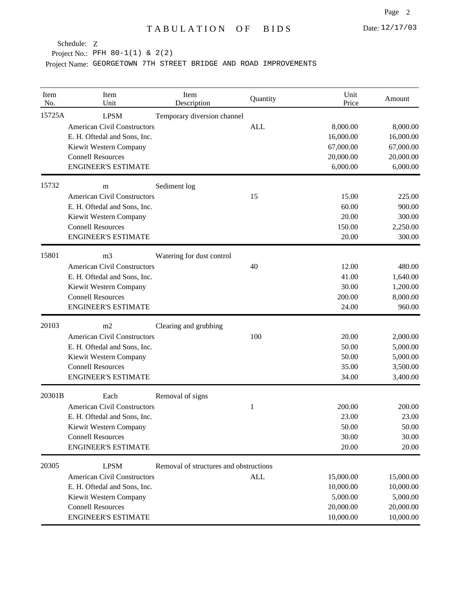Project No.: PFH 80-1(1) & 2(2)

| Item<br>No. | Item<br>Unit                                                                                                                                                             | Item<br>Description                    | Quantity   | Unit<br>Price                                                | Amount                                                       |
|-------------|--------------------------------------------------------------------------------------------------------------------------------------------------------------------------|----------------------------------------|------------|--------------------------------------------------------------|--------------------------------------------------------------|
| 15725A      | <b>LPSM</b><br><b>American Civil Constructors</b><br>E. H. Oftedal and Sons, Inc.<br>Kiewit Western Company<br><b>Connell Resources</b><br><b>ENGINEER'S ESTIMATE</b>    | Temporary diversion channel            | <b>ALL</b> | 8,000.00<br>16,000.00<br>67,000.00<br>20,000.00<br>6,000.00  | 8,000.00<br>16,000.00<br>67,000.00<br>20,000.00<br>6,000.00  |
| 15732       | m<br><b>American Civil Constructors</b><br>E. H. Oftedal and Sons, Inc.<br>Kiewit Western Company<br><b>Connell Resources</b><br><b>ENGINEER'S ESTIMATE</b>              | Sediment log                           | 15         | 15.00<br>60.00<br>20.00<br>150.00<br>20.00                   | 225.00<br>900.00<br>300.00<br>2,250.00<br>300.00             |
| 15801       | m <sub>3</sub><br><b>American Civil Constructors</b><br>E. H. Oftedal and Sons, Inc.<br>Kiewit Western Company<br><b>Connell Resources</b><br><b>ENGINEER'S ESTIMATE</b> | Watering for dust control              | 40         | 12.00<br>41.00<br>30.00<br>200.00<br>24.00                   | 480.00<br>1,640.00<br>1,200.00<br>8,000.00<br>960.00         |
| 20103       | m2<br><b>American Civil Constructors</b><br>E. H. Oftedal and Sons, Inc.<br>Kiewit Western Company<br><b>Connell Resources</b><br><b>ENGINEER'S ESTIMATE</b>             | Clearing and grubbing                  | 100        | 20.00<br>50.00<br>50.00<br>35.00<br>34.00                    | 2,000.00<br>5,000.00<br>5,000.00<br>3,500.00<br>3,400.00     |
| 20301B      | Each<br><b>American Civil Constructors</b><br>E. H. Oftedal and Sons, Inc.<br>Kiewit Western Company<br><b>Connell Resources</b><br><b>ENGINEER'S ESTIMATE</b>           | Removal of signs                       | 1          | 200.00<br>23.00<br>50.00<br>30.00<br>20.00                   | 200.00<br>23.00<br>50.00<br>30.00<br>20.00                   |
| 20305       | <b>LPSM</b><br><b>American Civil Constructors</b><br>E. H. Oftedal and Sons, Inc.<br>Kiewit Western Company<br><b>Connell Resources</b><br><b>ENGINEER'S ESTIMATE</b>    | Removal of structures and obstructions | ALL        | 15,000.00<br>10,000.00<br>5,000.00<br>20,000.00<br>10,000.00 | 15,000.00<br>10,000.00<br>5,000.00<br>20,000.00<br>10,000.00 |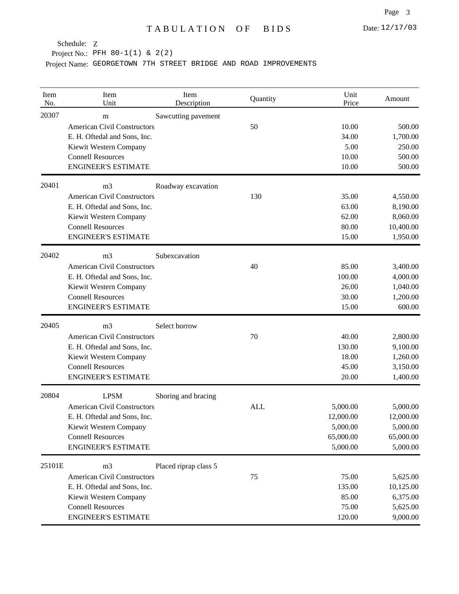Project No.: PFH 80-1(1) & 2(2)

| Item<br>No. | Item<br>Unit                       | Item<br>Description   | Quantity   | Unit<br>Price | Amount    |
|-------------|------------------------------------|-----------------------|------------|---------------|-----------|
| 20307       | m                                  | Sawcutting pavement   |            |               |           |
|             | <b>American Civil Constructors</b> |                       | 50         | 10.00         | 500.00    |
|             | E. H. Oftedal and Sons, Inc.       |                       |            | 34.00         | 1,700.00  |
|             | Kiewit Western Company             |                       |            | 5.00          | 250.00    |
|             | <b>Connell Resources</b>           |                       |            | 10.00         | 500.00    |
|             | <b>ENGINEER'S ESTIMATE</b>         |                       |            | 10.00         | 500.00    |
| 20401       | m <sub>3</sub>                     | Roadway excavation    |            |               |           |
|             | <b>American Civil Constructors</b> |                       | 130        | 35.00         | 4,550.00  |
|             | E. H. Oftedal and Sons, Inc.       |                       |            | 63.00         | 8,190.00  |
|             | Kiewit Western Company             |                       |            | 62.00         | 8,060.00  |
|             | <b>Connell Resources</b>           |                       |            | 80.00         | 10,400.00 |
|             | <b>ENGINEER'S ESTIMATE</b>         |                       |            | 15.00         | 1,950.00  |
| 20402       | m <sub>3</sub>                     | Subexcavation         |            |               |           |
|             | <b>American Civil Constructors</b> |                       | 40         | 85.00         | 3,400.00  |
|             | E. H. Oftedal and Sons, Inc.       |                       |            | 100.00        | 4,000.00  |
|             | Kiewit Western Company             |                       |            | 26.00         | 1,040.00  |
|             | <b>Connell Resources</b>           |                       |            | 30.00         | 1,200.00  |
|             | <b>ENGINEER'S ESTIMATE</b>         |                       |            | 15.00         | 600.00    |
| 20405       | m <sub>3</sub>                     | Select borrow         |            |               |           |
|             | <b>American Civil Constructors</b> |                       | 70         | 40.00         | 2,800.00  |
|             | E. H. Oftedal and Sons, Inc.       |                       |            | 130.00        | 9,100.00  |
|             | Kiewit Western Company             |                       |            | 18.00         | 1,260.00  |
|             | <b>Connell Resources</b>           |                       |            | 45.00         | 3,150.00  |
|             | <b>ENGINEER'S ESTIMATE</b>         |                       |            | 20.00         | 1,400.00  |
| 20804       | <b>LPSM</b>                        | Shoring and bracing   |            |               |           |
|             | <b>American Civil Constructors</b> |                       | <b>ALL</b> | 5,000.00      | 5,000.00  |
|             | E. H. Oftedal and Sons, Inc.       |                       |            | 12,000.00     | 12,000.00 |
|             | Kiewit Western Company             |                       |            | 5,000.00      | 5,000.00  |
|             | <b>Connell Resources</b>           |                       |            | 65,000.00     | 65,000.00 |
|             | <b>ENGINEER'S ESTIMATE</b>         |                       |            | 5,000.00      | 5,000.00  |
| 25101E      | m <sub>3</sub>                     | Placed riprap class 5 |            |               |           |
|             | <b>American Civil Constructors</b> |                       | 75         | 75.00         | 5,625.00  |
|             | E. H. Oftedal and Sons, Inc.       |                       |            | 135.00        | 10,125.00 |
|             | Kiewit Western Company             |                       |            | 85.00         | 6,375.00  |
|             | <b>Connell Resources</b>           |                       |            | 75.00         | 5,625.00  |
|             | <b>ENGINEER'S ESTIMATE</b>         |                       |            | 120.00        | 9,000.00  |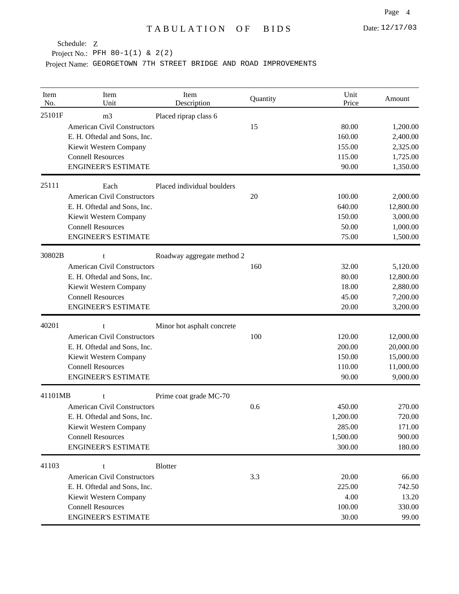Project No.: PFH 80-1(1) & 2(2)

| Item<br>No. | Item<br>Unit                                           | Item<br>Description        | Quantity | Unit<br>Price   | Amount               |
|-------------|--------------------------------------------------------|----------------------------|----------|-----------------|----------------------|
| 25101F      | m <sub>3</sub><br><b>American Civil Constructors</b>   | Placed riprap class 6      | 15       | 80.00           | 1,200.00             |
|             | E. H. Oftedal and Sons, Inc.                           |                            |          | 160.00          | 2,400.00             |
|             | Kiewit Western Company                                 |                            |          | 155.00          | 2,325.00             |
|             | <b>Connell Resources</b><br><b>ENGINEER'S ESTIMATE</b> |                            |          | 115.00          | 1,725.00             |
|             |                                                        |                            |          | 90.00           | 1,350.00             |
| 25111       | Each                                                   | Placed individual boulders |          |                 |                      |
|             | <b>American Civil Constructors</b>                     |                            | 20       | 100.00          | 2,000.00             |
|             | E. H. Oftedal and Sons, Inc.                           |                            |          | 640.00          | 12,800.00            |
|             | Kiewit Western Company<br><b>Connell Resources</b>     |                            |          | 150.00<br>50.00 | 3,000.00             |
|             | <b>ENGINEER'S ESTIMATE</b>                             |                            |          | 75.00           | 1,000.00<br>1,500.00 |
|             |                                                        |                            |          |                 |                      |
| 30802B      | t<br><b>American Civil Constructors</b>                | Roadway aggregate method 2 | 160      | 32.00           | 5,120.00             |
|             | E. H. Oftedal and Sons, Inc.                           |                            |          | 80.00           | 12,800.00            |
|             | Kiewit Western Company                                 |                            |          | 18.00           | 2,880.00             |
|             | <b>Connell Resources</b>                               |                            |          | 45.00           | 7,200.00             |
|             | <b>ENGINEER'S ESTIMATE</b>                             |                            |          | 20.00           | 3,200.00             |
| 40201       | t                                                      | Minor hot asphalt concrete |          |                 |                      |
|             | <b>American Civil Constructors</b>                     |                            | 100      | 120.00          | 12,000.00            |
|             | E. H. Oftedal and Sons, Inc.                           |                            |          | 200.00          | 20,000.00            |
|             | Kiewit Western Company                                 |                            |          | 150.00          | 15,000.00            |
|             | <b>Connell Resources</b>                               |                            |          | 110.00          | 11,000.00            |
|             | <b>ENGINEER'S ESTIMATE</b>                             |                            |          | 90.00           | 9,000.00             |
| 41101MB     | t                                                      | Prime coat grade MC-70     |          |                 |                      |
|             | <b>American Civil Constructors</b>                     |                            | 0.6      | 450.00          | 270.00               |
|             | E. H. Oftedal and Sons, Inc.                           |                            |          | 1,200.00        | 720.00               |
|             | Kiewit Western Company                                 |                            |          | 285.00          | 171.00               |
|             | <b>Connell Resources</b>                               |                            |          | 1,500.00        | 900.00               |
|             | <b>ENGINEER'S ESTIMATE</b>                             |                            |          | 300.00          | 180.00               |
| 41103       | t                                                      | <b>Blotter</b>             |          |                 |                      |
|             | <b>American Civil Constructors</b>                     |                            | 3.3      | 20.00           | 66.00                |
|             | E. H. Oftedal and Sons, Inc.                           |                            |          | 225.00          | 742.50               |
|             | Kiewit Western Company                                 |                            |          | 4.00            | 13.20                |
|             | <b>Connell Resources</b>                               |                            |          | 100.00          | 330.00               |
|             | <b>ENGINEER'S ESTIMATE</b>                             |                            |          | 30.00           | 99.00                |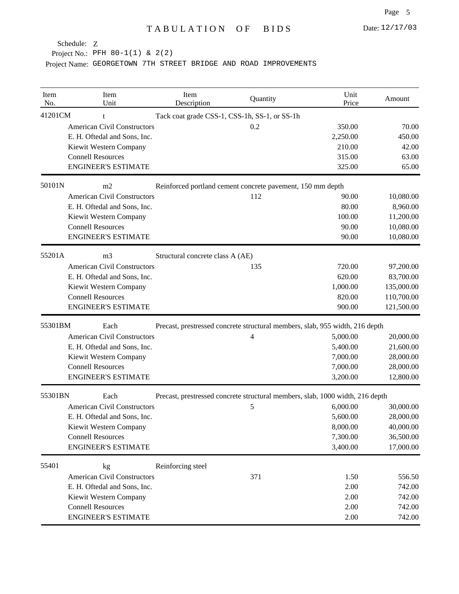Project No.: PFH 80-1(1) & 2(2)

| Item<br>No. | Item<br>Unit                       | Item<br>Description              | Quantity                                                   | Unit<br>Price                                                                 | Amount     |
|-------------|------------------------------------|----------------------------------|------------------------------------------------------------|-------------------------------------------------------------------------------|------------|
| 41201CM     | t                                  |                                  | Tack coat grade CSS-1, CSS-1h, SS-1, or SS-1h              |                                                                               |            |
|             | <b>American Civil Constructors</b> |                                  | 0.2                                                        | 350.00                                                                        | 70.00      |
|             | E. H. Oftedal and Sons, Inc.       |                                  |                                                            | 2,250.00                                                                      | 450.00     |
|             | Kiewit Western Company             |                                  |                                                            | 210.00                                                                        | 42.00      |
|             | <b>Connell Resources</b>           |                                  |                                                            | 315.00                                                                        | 63.00      |
|             | <b>ENGINEER'S ESTIMATE</b>         |                                  |                                                            | 325.00                                                                        | 65.00      |
| 50101N      | m2                                 |                                  | Reinforced portland cement concrete pavement, 150 mm depth |                                                                               |            |
|             | <b>American Civil Constructors</b> |                                  | 112                                                        | 90.00                                                                         | 10,080.00  |
|             | E. H. Oftedal and Sons, Inc.       |                                  |                                                            | 80.00                                                                         | 8,960.00   |
|             | Kiewit Western Company             |                                  |                                                            | 100.00                                                                        | 11,200.00  |
|             | <b>Connell Resources</b>           |                                  |                                                            | 90.00                                                                         | 10,080.00  |
|             | <b>ENGINEER'S ESTIMATE</b>         |                                  |                                                            | 90.00                                                                         | 10,080.00  |
| 55201A      | m <sub>3</sub>                     | Structural concrete class A (AE) |                                                            |                                                                               |            |
|             | <b>American Civil Constructors</b> |                                  | 135                                                        | 720.00                                                                        | 97,200.00  |
|             | E. H. Oftedal and Sons, Inc.       |                                  |                                                            | 620.00                                                                        | 83,700.00  |
|             | Kiewit Western Company             |                                  |                                                            | 1,000.00                                                                      | 135,000.00 |
|             | <b>Connell Resources</b>           |                                  |                                                            | 820.00                                                                        | 110,700.00 |
|             | <b>ENGINEER'S ESTIMATE</b>         |                                  |                                                            | 900.00                                                                        | 121,500.00 |
| 55301BM     | Each                               |                                  |                                                            | Precast, prestressed concrete structural members, slab, 955 width, 216 depth  |            |
|             | <b>American Civil Constructors</b> |                                  | 4                                                          | 5,000.00                                                                      | 20,000.00  |
|             | E. H. Oftedal and Sons, Inc.       |                                  |                                                            | 5,400.00                                                                      | 21,600.00  |
|             | Kiewit Western Company             |                                  |                                                            | 7,000.00                                                                      | 28,000.00  |
|             | <b>Connell Resources</b>           |                                  |                                                            | 7,000.00                                                                      | 28,000.00  |
|             | <b>ENGINEER'S ESTIMATE</b>         |                                  |                                                            | 3,200.00                                                                      | 12,800.00  |
| 55301BN     | Each                               |                                  |                                                            | Precast, prestressed concrete structural members, slab, 1000 width, 216 depth |            |
|             | <b>American Civil Constructors</b> |                                  | 5                                                          | 6,000.00                                                                      | 30,000.00  |
|             | E. H. Oftedal and Sons, Inc.       |                                  |                                                            | 5,600.00                                                                      | 28,000.00  |
|             | Kiewit Western Company             |                                  |                                                            | 8,000.00                                                                      | 40,000.00  |
|             | <b>Connell Resources</b>           |                                  |                                                            | 7,300.00                                                                      | 36,500.00  |
|             | <b>ENGINEER'S ESTIMATE</b>         |                                  |                                                            | 3,400.00                                                                      | 17,000.00  |
| 55401       | kg                                 | Reinforcing steel                |                                                            |                                                                               |            |
|             | <b>American Civil Constructors</b> |                                  | 371                                                        | 1.50                                                                          | 556.50     |
|             | E. H. Oftedal and Sons, Inc.       |                                  |                                                            | 2.00                                                                          | 742.00     |
|             | Kiewit Western Company             |                                  |                                                            | 2.00                                                                          | 742.00     |
|             | <b>Connell Resources</b>           |                                  |                                                            | 2.00                                                                          | 742.00     |
|             | <b>ENGINEER'S ESTIMATE</b>         |                                  |                                                            | 2.00                                                                          | 742.00     |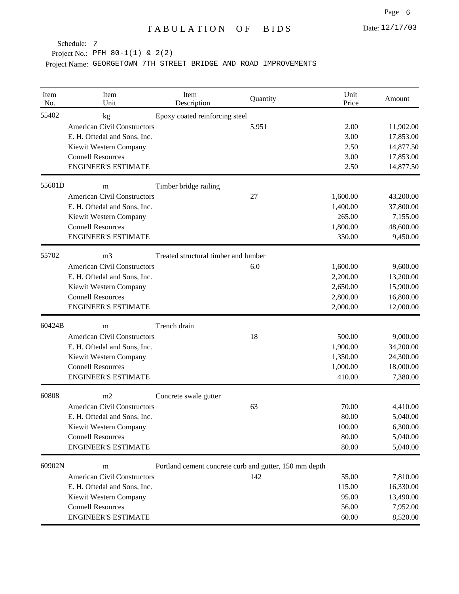Project No.: PFH 80-1(1) & 2(2)

| Item<br>No. | Item<br>Unit                       | Item<br>Description                                    | Quantity | Unit<br>Price | Amount    |
|-------------|------------------------------------|--------------------------------------------------------|----------|---------------|-----------|
| 55402       | kg                                 | Epoxy coated reinforcing steel                         |          |               |           |
|             | <b>American Civil Constructors</b> |                                                        | 5,951    | 2.00          | 11,902.00 |
|             | E. H. Oftedal and Sons, Inc.       |                                                        |          | 3.00          | 17,853.00 |
|             | Kiewit Western Company             |                                                        |          | 2.50          | 14,877.50 |
|             | <b>Connell Resources</b>           |                                                        |          | 3.00          | 17,853.00 |
|             | <b>ENGINEER'S ESTIMATE</b>         |                                                        |          | 2.50          | 14,877.50 |
| 55601D      | m                                  | Timber bridge railing                                  |          |               |           |
|             | <b>American Civil Constructors</b> |                                                        | 27       | 1,600.00      | 43,200.00 |
|             | E. H. Oftedal and Sons, Inc.       |                                                        |          | 1,400.00      | 37,800.00 |
|             | Kiewit Western Company             |                                                        |          | 265.00        | 7,155.00  |
|             | <b>Connell Resources</b>           |                                                        |          | 1,800.00      | 48,600.00 |
|             | <b>ENGINEER'S ESTIMATE</b>         |                                                        |          | 350.00        | 9,450.00  |
| 55702       | m <sub>3</sub>                     | Treated structural timber and lumber                   |          |               |           |
|             | <b>American Civil Constructors</b> |                                                        | 6.0      | 1,600.00      | 9,600.00  |
|             | E. H. Oftedal and Sons, Inc.       |                                                        |          | 2,200.00      | 13,200.00 |
|             | Kiewit Western Company             |                                                        |          | 2,650.00      | 15,900.00 |
|             | <b>Connell Resources</b>           |                                                        |          | 2,800.00      | 16,800.00 |
|             | <b>ENGINEER'S ESTIMATE</b>         |                                                        |          | 2,000.00      | 12,000.00 |
| 60424B      | m                                  | Trench drain                                           |          |               |           |
|             | <b>American Civil Constructors</b> |                                                        | 18       | 500.00        | 9,000.00  |
|             | E. H. Oftedal and Sons, Inc.       |                                                        |          | 1,900.00      | 34,200.00 |
|             | Kiewit Western Company             |                                                        |          | 1,350.00      | 24,300.00 |
|             | <b>Connell Resources</b>           |                                                        |          | 1,000.00      | 18,000.00 |
|             | <b>ENGINEER'S ESTIMATE</b>         |                                                        |          | 410.00        | 7,380.00  |
| 60808       | m2                                 | Concrete swale gutter                                  |          |               |           |
|             | <b>American Civil Constructors</b> |                                                        | 63       | 70.00         | 4,410.00  |
|             | E. H. Oftedal and Sons, Inc.       |                                                        |          | 80.00         | 5,040.00  |
|             | Kiewit Western Company             |                                                        |          | 100.00        | 6,300.00  |
|             | <b>Connell Resources</b>           |                                                        |          | 80.00         | 5,040.00  |
|             | <b>ENGINEER'S ESTIMATE</b>         |                                                        |          | 80.00         | 5,040.00  |
| 60902N      | m                                  | Portland cement concrete curb and gutter, 150 mm depth |          |               |           |
|             | <b>American Civil Constructors</b> |                                                        | 142      | 55.00         | 7,810.00  |
|             | E. H. Oftedal and Sons, Inc.       |                                                        |          | 115.00        | 16,330.00 |
|             | Kiewit Western Company             |                                                        |          | 95.00         | 13,490.00 |
|             | <b>Connell Resources</b>           |                                                        |          | 56.00         | 7,952.00  |
|             | <b>ENGINEER'S ESTIMATE</b>         |                                                        |          | 60.00         | 8,520.00  |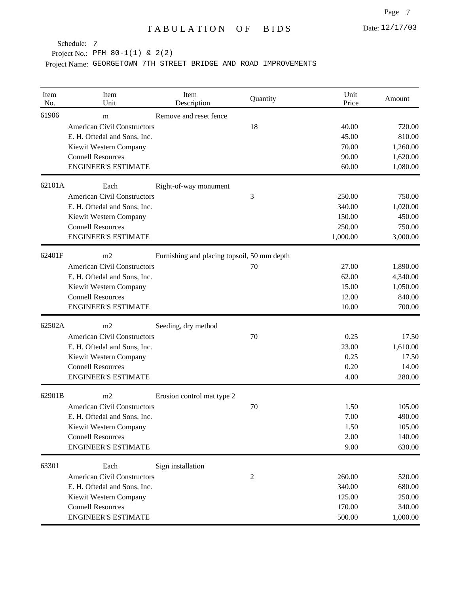Project No.: PFH 80-1(1) & 2(2)

| Item<br>No. | Item<br>Unit                       | Item<br>Description                         | Quantity | Unit<br>Price | Amount   |
|-------------|------------------------------------|---------------------------------------------|----------|---------------|----------|
| 61906       | m                                  | Remove and reset fence                      |          |               |          |
|             | <b>American Civil Constructors</b> |                                             | 18       | 40.00         | 720.00   |
|             | E. H. Oftedal and Sons, Inc.       |                                             |          | 45.00         | 810.00   |
|             | Kiewit Western Company             |                                             |          | 70.00         | 1,260.00 |
|             | <b>Connell Resources</b>           |                                             |          | 90.00         | 1,620.00 |
|             | <b>ENGINEER'S ESTIMATE</b>         |                                             |          | 60.00         | 1,080.00 |
| 62101A      | Each                               | Right-of-way monument                       |          |               |          |
|             | <b>American Civil Constructors</b> |                                             | 3        | 250.00        | 750.00   |
|             | E. H. Oftedal and Sons, Inc.       |                                             |          | 340.00        | 1,020.00 |
|             | Kiewit Western Company             |                                             |          | 150.00        | 450.00   |
|             | <b>Connell Resources</b>           |                                             |          | 250.00        | 750.00   |
|             | <b>ENGINEER'S ESTIMATE</b>         |                                             |          | 1,000.00      | 3,000.00 |
| 62401F      | m <sub>2</sub>                     | Furnishing and placing topsoil, 50 mm depth |          |               |          |
|             | <b>American Civil Constructors</b> |                                             | 70       | 27.00         | 1,890.00 |
|             | E. H. Oftedal and Sons, Inc.       |                                             |          | 62.00         | 4,340.00 |
|             | Kiewit Western Company             |                                             |          | 15.00         | 1,050.00 |
|             | <b>Connell Resources</b>           |                                             |          | 12.00         | 840.00   |
|             | <b>ENGINEER'S ESTIMATE</b>         |                                             |          | 10.00         | 700.00   |
| 62502A      | m2                                 | Seeding, dry method                         |          |               |          |
|             | <b>American Civil Constructors</b> |                                             | 70       | 0.25          | 17.50    |
|             | E. H. Oftedal and Sons, Inc.       |                                             |          | 23.00         | 1,610.00 |
|             | Kiewit Western Company             |                                             |          | 0.25          | 17.50    |
|             | <b>Connell Resources</b>           |                                             |          | 0.20          | 14.00    |
|             | <b>ENGINEER'S ESTIMATE</b>         |                                             |          | 4.00          | 280.00   |
| 62901B      | m2                                 | Erosion control mat type 2                  |          |               |          |
|             | <b>American Civil Constructors</b> |                                             | 70       | 1.50          | 105.00   |
|             | E. H. Oftedal and Sons, Inc.       |                                             |          | 7.00          | 490.00   |
|             | Kiewit Western Company             |                                             |          | 1.50          | 105.00   |
|             | <b>Connell Resources</b>           |                                             |          | 2.00          | 140.00   |
|             | <b>ENGINEER'S ESTIMATE</b>         |                                             |          | 9.00          | 630.00   |
| 63301       | Each                               | Sign installation                           |          |               |          |
|             | <b>American Civil Constructors</b> |                                             | 2        | 260.00        | 520.00   |
|             | E. H. Oftedal and Sons, Inc.       |                                             |          | 340.00        | 680.00   |
|             | Kiewit Western Company             |                                             |          | 125.00        | 250.00   |
|             | <b>Connell Resources</b>           |                                             |          | 170.00        | 340.00   |
|             | <b>ENGINEER'S ESTIMATE</b>         |                                             |          | 500.00        | 1,000.00 |